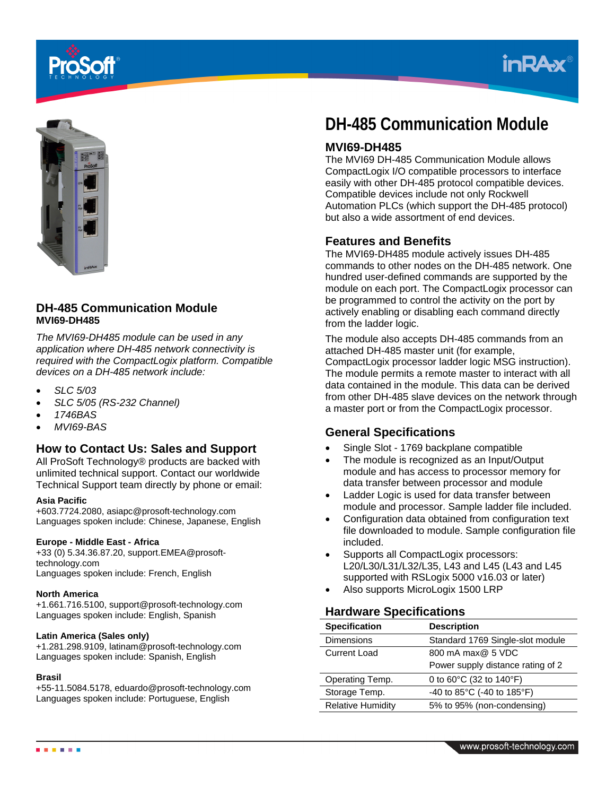





## **DH-485 Communication Module MVI69-DH485**

*The MVI69-DH485 module can be used in any application where DH-485 network connectivity is required with the CompactLogix platform. Compatible devices on a DH-485 network include:* 

- *SLC 5/03*
- *SLC 5/05 (RS-232 Channel)*
- *1746BAS*
- *MVI69-BAS*

## **How to Contact Us: Sales and Support**

All ProSoft Technology® products are backed with unlimited technical support. Contact our worldwide Technical Support team directly by phone or email:

#### **Asia Pacific**

+603.7724.2080, asiapc@prosoft-technology.com Languages spoken include: Chinese, Japanese, English

#### **Europe - Middle East - Africa**

+33 (0) 5.34.36.87.20, support.EMEA@prosofttechnology.com Languages spoken include: French, English

#### **North America**

+1.661.716.5100, support@prosoft-technology.com Languages spoken include: English, Spanish

#### **Latin America (Sales only)**

+1.281.298.9109, latinam@prosoft-technology.com Languages spoken include: Spanish, English

#### **Brasil**

+55-11.5084.5178, eduardo@prosoft-technology.com Languages spoken include: Portuguese, English

# **DH-485 Communication Module**

## **MVI69-DH485**

The MVI69 DH-485 Communication Module allows CompactLogix I/O compatible processors to interface easily with other DH-485 protocol compatible devices. Compatible devices include not only Rockwell Automation PLCs (which support the DH-485 protocol) but also a wide assortment of end devices.

### **Features and Benefits**

The MVI69-DH485 module actively issues DH-485 commands to other nodes on the DH-485 network. One hundred user-defined commands are supported by the module on each port. The CompactLogix processor can be programmed to control the activity on the port by actively enabling or disabling each command directly from the ladder logic.

The module also accepts DH-485 commands from an attached DH-485 master unit (for example, CompactLogix processor ladder logic MSG instruction). The module permits a remote master to interact with all data contained in the module. This data can be derived from other DH-485 slave devices on the network through a master port or from the CompactLogix processor.

## **General Specifications**

- Single Slot 1769 backplane compatible
- The module is recognized as an Input/Output module and has access to processor memory for data transfer between processor and module
- Ladder Logic is used for data transfer between module and processor. Sample ladder file included.
- Configuration data obtained from configuration text file downloaded to module. Sample configuration file included.
- Supports all CompactLogix processors: L20/L30/L31/L32/L35, L43 and L45 (L43 and L45 supported with RSLogix 5000 v16.03 or later)
- Also supports MicroLogix 1500 LRP

## **Hardware Specifications**

| <b>Specification</b>     | <b>Description</b>                |
|--------------------------|-----------------------------------|
| <b>Dimensions</b>        | Standard 1769 Single-slot module  |
| <b>Current Load</b>      | 800 mA max@ 5 VDC                 |
|                          | Power supply distance rating of 2 |
| Operating Temp.          | 0 to 60°C (32 to 140°F)           |
| Storage Temp.            | -40 to 85°C (-40 to 185°F)        |
| <b>Relative Humidity</b> | 5% to 95% (non-condensing)        |

. . . . .